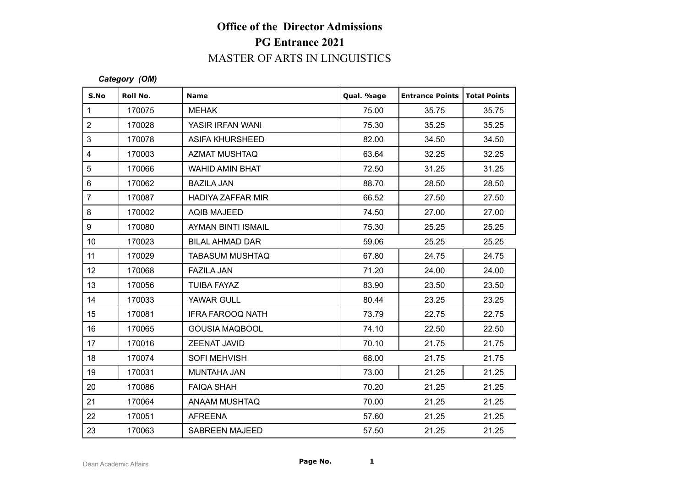# **Office of the Director Admissions PG Entrance 2021** MASTER OF ARTS IN LINGUISTICS

#### *Category (OM)*

|              |                                      | <b>PG Entrance 2021</b>  |            |                        |                     |  |  |  |
|--------------|--------------------------------------|--------------------------|------------|------------------------|---------------------|--|--|--|
|              | <b>MASTER OF ARTS IN LINGUISTICS</b> |                          |            |                        |                     |  |  |  |
|              | Category (OM)                        |                          |            |                        |                     |  |  |  |
| S.No         | Roll No.                             | <b>Name</b>              | Qual. %age | <b>Entrance Points</b> | <b>Total Points</b> |  |  |  |
| $\mathbf{1}$ | 170075                               | <b>MEHAK</b>             | 75.00      | 35.75                  | 35.75               |  |  |  |
|              | 170028                               | YASIR IRFAN WANI         | 75.30      | 35.25                  | 35.25               |  |  |  |
|              | 170078                               | <b>ASIFA KHURSHEED</b>   | 82.00      | 34.50                  | 34.50               |  |  |  |
|              | 170003                               | <b>AZMAT MUSHTAQ</b>     | 63.64      | 32.25                  | 32.25               |  |  |  |
| $\sqrt{5}$   | 170066                               | <b>WAHID AMIN BHAT</b>   | 72.50      | 31.25                  | 31.25               |  |  |  |
|              | 170062                               | <b>BAZILA JAN</b>        | 88.70      | 28.50                  | 28.50               |  |  |  |
|              | 170087                               | <b>HADIYA ZAFFAR MIR</b> | 66.52      | 27.50                  | 27.50               |  |  |  |
|              | 170002                               | <b>AQIB MAJEED</b>       | 74.50      | 27.00                  | 27.00               |  |  |  |
|              | 170080                               | AYMAN BINTI ISMAIL       | 75.30      | 25.25                  | 25.25               |  |  |  |
| 10           | 170023                               | <b>BILAL AHMAD DAR</b>   | 59.06      | 25.25                  | 25.25               |  |  |  |
|              | 170029                               | <b>TABASUM MUSHTAQ</b>   | 67.80      | 24.75                  | 24.75               |  |  |  |
| 12           | 170068                               | <b>FAZILA JAN</b>        | 71.20      | 24.00                  | 24.00               |  |  |  |
| 13           | 170056                               | <b>TUIBA FAYAZ</b>       | 83.90      | 23.50                  | 23.50               |  |  |  |
| 14           | 170033                               | YAWAR GULL               | 80.44      | 23.25                  | 23.25               |  |  |  |
| 15           | 170081                               | <b>IFRA FAROOQ NATH</b>  | 73.79      | 22.75                  | 22.75               |  |  |  |
| 16           | 170065                               | <b>GOUSIA MAQBOOL</b>    | 74.10      | 22.50                  | 22.50               |  |  |  |
| 17           | 170016                               | ZEENAT JAVID             | 70.10      | 21.75                  | 21.75               |  |  |  |
| 18           | 170074                               | <b>SOFI MEHVISH</b>      | 68.00      | 21.75                  | 21.75               |  |  |  |
| 19           | 170031                               | <b>MUNTAHA JAN</b>       | 73.00      | 21.25                  | 21.25               |  |  |  |
| 20           | 170086                               | <b>FAIQA SHAH</b>        | 70.20      | 21.25                  | 21.25               |  |  |  |
| 21           | 170064                               | ANAAM MUSHTAQ            | 70.00      | 21.25                  | 21.25               |  |  |  |
| 22           | 170051                               | <b>AFREENA</b>           | 57.60      | 21.25                  | 21.25               |  |  |  |
| 23           | 170063                               | <b>SABREEN MAJEED</b>    | 57.50      | 21.25                  | 21.25               |  |  |  |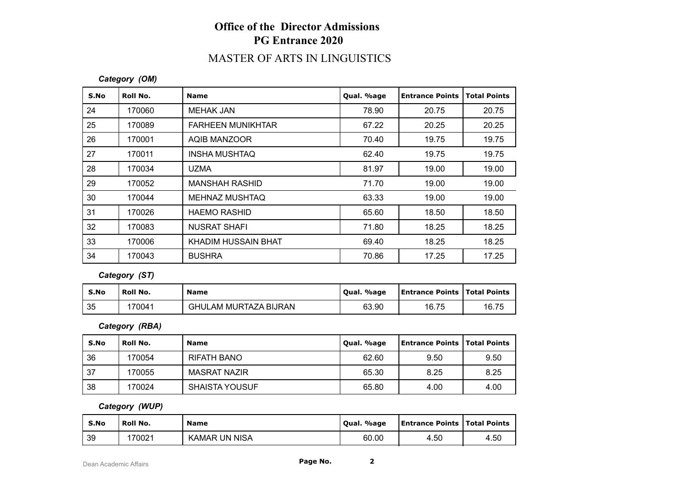## **Office of the Director Admissions PG Entrance 2020**

## MASTER OF ARTS IN LINGUISTICS

### *Category (OM)*

| S.No | Roll No. | <b>Name</b>              | Qual. %age | <b>Entrance Points</b> | <b>Total Points</b> |
|------|----------|--------------------------|------------|------------------------|---------------------|
| 24   | 170060   | MEHAK JAN                | 78.90      | 20.75                  | 20.75               |
| 25   | 170089   | <b>FARHEEN MUNIKHTAR</b> | 67.22      | 20.25                  | 20.25               |
| 26   | 170001   | <b>AQIB MANZOOR</b>      | 70.40      | 19.75                  | 19.75               |
| 27   | 170011   | INSHA MUSHTAQ            | 62.40      | 19.75                  | 19.75               |
| 28   | 170034   | <b>UZMA</b>              | 81.97      | 19.00                  | 19.00               |
| 29   | 170052   | <b>MANSHAH RASHID</b>    | 71.70      | 19.00                  | 19.00               |
| 30   | 170044   | <b>MEHNAZ MUSHTAQ</b>    | 63.33      | 19.00                  | 19.00               |
| 31   | 170026   | <b>HAEMO RASHID</b>      | 65.60      | 18.50                  | 18.50               |
| 32   | 170083   | <b>NUSRAT SHAFI</b>      | 71.80      | 18.25                  | 18.25               |
| 33   | 170006   | KHADIM HUSSAIN BHAT      | 69.40      | 18.25                  | 18.25               |
| 34   | 170043   | <b>BUSHRA</b>            | 70.86      | 17.25                  | 17.25               |

*Category (ST)*

| S.No | Roll No. | <b>Name</b>                  | Qual. %age | <b>Entrance Points   Total Points</b> |       |
|------|----------|------------------------------|------------|---------------------------------------|-------|
| 35   | 70041    | <b>GHULAM MURTAZA BIJRAN</b> | 63.90      | 16.75                                 | 16.75 |

#### *Category (RBA)*

| S.No | Roll No. | <b>Name</b>           | Qual. %age | <b>Entrance Points   Total Points</b> |      |
|------|----------|-----------------------|------------|---------------------------------------|------|
| 36   | 170054   | RIFATH BANO           | 62.60      | 9.50                                  | 9.50 |
| 37   | 170055   | MASRAT NAZIR          | 65.30      | 8.25                                  | 8.25 |
| 38   | 170024   | <b>SHAISTA YOUSUF</b> | 65.80      | 4.00                                  | 4.00 |

### *Category (WUP)*

| S.No | Roll No. | <b>Name</b>          | . %age<br>`Oual. | Entrance Points   Total Points |      |
|------|----------|----------------------|------------------|--------------------------------|------|
| 39   | 70021    | <b>KAMAR UN NISA</b> | 60.00            | 4.50                           | 4.50 |